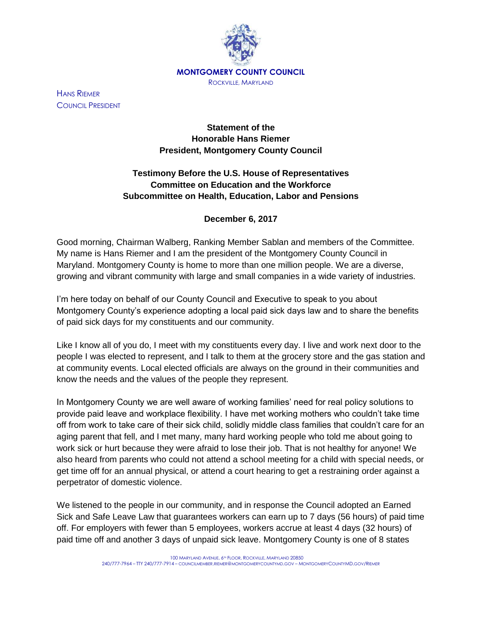

HANS RIEMER COUNCIL PRESIDENT

## **Statement of the Honorable Hans Riemer President, Montgomery County Council**

## **Testimony Before the U.S. House of Representatives Committee on Education and the Workforce Subcommittee on Health, Education, Labor and Pensions**

## **December 6, 2017**

Good morning, Chairman Walberg, Ranking Member Sablan and members of the Committee. My name is Hans Riemer and I am the president of the Montgomery County Council in Maryland. Montgomery County is home to more than one million people. We are a diverse, growing and vibrant community with large and small companies in a wide variety of industries.

I'm here today on behalf of our County Council and Executive to speak to you about Montgomery County's experience adopting a local paid sick days law and to share the benefits of paid sick days for my constituents and our community.

Like I know all of you do, I meet with my constituents every day. I live and work next door to the people I was elected to represent, and I talk to them at the grocery store and the gas station and at community events. Local elected officials are always on the ground in their communities and know the needs and the values of the people they represent.

In Montgomery County we are well aware of working families' need for real policy solutions to provide paid leave and workplace flexibility. I have met working mothers who couldn't take time off from work to take care of their sick child, solidly middle class families that couldn't care for an aging parent that fell, and I met many, many hard working people who told me about going to work sick or hurt because they were afraid to lose their job. That is not healthy for anyone! We also heard from parents who could not attend a school meeting for a child with special needs, or get time off for an annual physical, or attend a court hearing to get a restraining order against a perpetrator of domestic violence.

We listened to the people in our community, and in response the Council adopted an Earned Sick and Safe Leave Law that guarantees workers can earn up to 7 days (56 hours) of paid time off. For employers with fewer than 5 employees, workers accrue at least 4 days (32 hours) of paid time off and another 3 days of unpaid sick leave. Montgomery County is one of 8 states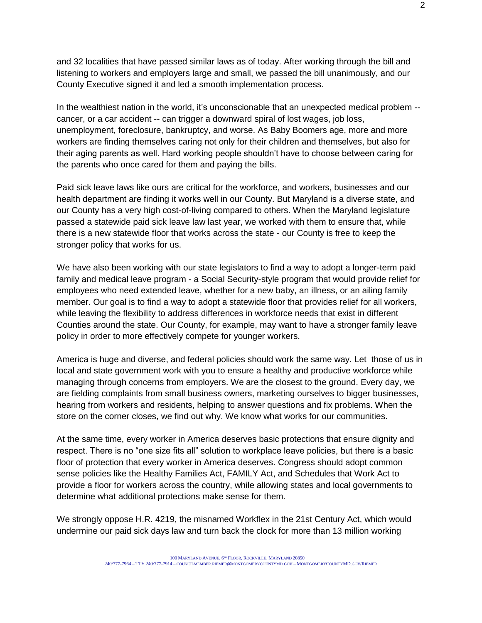and 32 localities that have passed similar laws as of today. After working through the bill and listening to workers and employers large and small, we passed the bill unanimously, and our County Executive signed it and led a smooth implementation process.

In the wealthiest nation in the world, it's unconscionable that an unexpected medical problem - cancer, or a car accident -- can trigger a downward spiral of lost wages, job loss, unemployment, foreclosure, bankruptcy, and worse. As Baby Boomers age, more and more workers are finding themselves caring not only for their children and themselves, but also for their aging parents as well. Hard working people shouldn't have to choose between caring for the parents who once cared for them and paying the bills.

Paid sick leave laws like ours are critical for the workforce, and workers, businesses and our health department are finding it works well in our County. But Maryland is a diverse state, and our County has a very high cost-of-living compared to others. When the Maryland legislature passed a statewide paid sick leave law last year, we worked with them to ensure that, while there is a new statewide floor that works across the state - our County is free to keep the stronger policy that works for us.

We have also been working with our state legislators to find a way to adopt a longer-term paid family and medical leave program - a Social Security-style program that would provide relief for employees who need extended leave, whether for a new baby, an illness, or an ailing family member. Our goal is to find a way to adopt a statewide floor that provides relief for all workers, while leaving the flexibility to address differences in workforce needs that exist in different Counties around the state. Our County, for example, may want to have a stronger family leave policy in order to more effectively compete for younger workers.

America is huge and diverse, and federal policies should work the same way. Let those of us in local and state government work with you to ensure a healthy and productive workforce while managing through concerns from employers. We are the closest to the ground. Every day, we are fielding complaints from small business owners, marketing ourselves to bigger businesses, hearing from workers and residents, helping to answer questions and fix problems. When the store on the corner closes, we find out why. We know what works for our communities.

At the same time, every worker in America deserves basic protections that ensure dignity and respect. There is no "one size fits all" solution to workplace leave policies, but there is a basic floor of protection that every worker in America deserves. Congress should adopt common sense policies like the Healthy Families Act, FAMILY Act, and Schedules that Work Act to provide a floor for workers across the country, while allowing states and local governments to determine what additional protections make sense for them.

We strongly oppose H.R. 4219, the misnamed Workflex in the 21st Century Act, which would undermine our paid sick days law and turn back the clock for more than 13 million working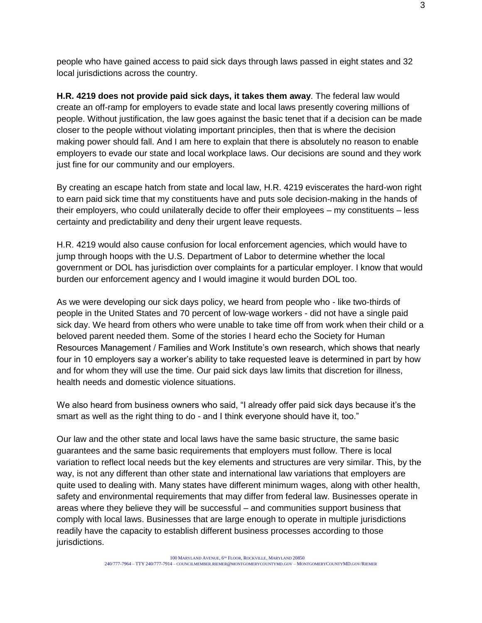people who have gained access to paid sick days through laws passed in eight states and 32 local jurisdictions across the country.

**H.R. 4219 does not provide paid sick days, it takes them away**. The federal law would create an off-ramp for employers to evade state and local laws presently covering millions of people. Without justification, the law goes against the basic tenet that if a decision can be made closer to the people without violating important principles, then that is where the decision making power should fall. And I am here to explain that there is absolutely no reason to enable employers to evade our state and local workplace laws. Our decisions are sound and they work just fine for our community and our employers.

By creating an escape hatch from state and local law, H.R. 4219 eviscerates the hard-won right to earn paid sick time that my constituents have and puts sole decision-making in the hands of their employers, who could unilaterally decide to offer their employees – my constituents – less certainty and predictability and deny their urgent leave requests.

H.R. 4219 would also cause confusion for local enforcement agencies, which would have to jump through hoops with the U.S. Department of Labor to determine whether the local government or DOL has jurisdiction over complaints for a particular employer. I know that would burden our enforcement agency and I would imagine it would burden DOL too.

As we were developing our sick days policy, we heard from people who - like two-thirds of people in the United States and 70 percent of low-wage workers - did not have a single paid sick day. We heard from others who were unable to take time off from work when their child or a beloved parent needed them. Some of the stories I heard echo the Society for Human Resources Management / Families and Work Institute's own research, which shows that nearly four in 10 employers say a worker's ability to take requested leave is determined in part by how and for whom they will use the time. Our paid sick days law limits that discretion for illness, health needs and domestic violence situations.

We also heard from business owners who said, "I already offer paid sick days because it's the smart as well as the right thing to do - and I think everyone should have it, too."

Our law and the other state and local laws have the same basic structure, the same basic guarantees and the same basic requirements that employers must follow. There is local variation to reflect local needs but the key elements and structures are very similar. This, by the way, is not any different than other state and international law variations that employers are quite used to dealing with. Many states have different minimum wages, along with other health, safety and environmental requirements that may differ from federal law. Businesses operate in areas where they believe they will be successful – and communities support business that comply with local laws. Businesses that are large enough to operate in multiple jurisdictions readily have the capacity to establish different business processes according to those jurisdictions.